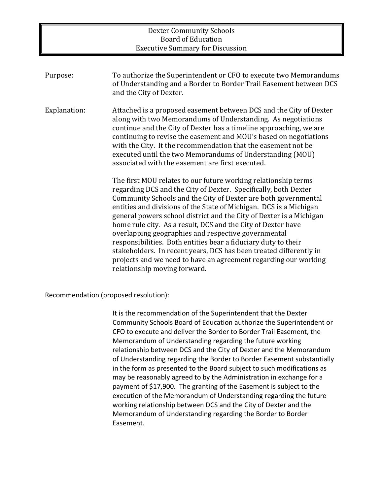### Dexter Community Schools Board of Education **Executive Summary for Discussion**

| Purpose:     | To authorize the Superintendent or CFO to execute two Memorandums<br>of Understanding and a Border to Border Trail Easement between DCS<br>and the City of Dexter.                                                                                                                                                                                                                                                                                                                                                                                                                                                                                                                                                 |
|--------------|--------------------------------------------------------------------------------------------------------------------------------------------------------------------------------------------------------------------------------------------------------------------------------------------------------------------------------------------------------------------------------------------------------------------------------------------------------------------------------------------------------------------------------------------------------------------------------------------------------------------------------------------------------------------------------------------------------------------|
| Explanation: | Attached is a proposed easement between DCS and the City of Dexter<br>along with two Memorandums of Understanding. As negotiations<br>continue and the City of Dexter has a timeline approaching, we are<br>continuing to revise the easement and MOU's based on negotiations<br>with the City. It the recommendation that the easement not be<br>executed until the two Memorandums of Understanding (MOU)<br>associated with the easement are first executed.                                                                                                                                                                                                                                                    |
|              | The first MOU relates to our future working relationship terms<br>regarding DCS and the City of Dexter. Specifically, both Dexter<br>Community Schools and the City of Dexter are both governmental<br>entities and divisions of the State of Michigan. DCS is a Michigan<br>general powers school district and the City of Dexter is a Michigan<br>home rule city. As a result, DCS and the City of Dexter have<br>overlapping geographies and respective governmental<br>responsibilities. Both entities bear a fiduciary duty to their<br>stakeholders. In recent years, DCS has been treated differently in<br>projects and we need to have an agreement regarding our working<br>relationship moving forward. |

Recommendation (proposed resolution):

It is the recommendation of the Superintendent that the Dexter Community Schools Board of Education authorize the Superintendent or CFO to execute and deliver the Border to Border Trail Easement, the Memorandum of Understanding regarding the future working relationship between DCS and the City of Dexter and the Memorandum of Understanding regarding the Border to Border Easement substantially in the form as presented to the Board subject to such modifications as may be reasonably agreed to by the Administration in exchange for a payment of \$17,900. The granting of the Easement is subject to the execution of the Memorandum of Understanding regarding the future working relationship between DCS and the City of Dexter and the Memorandum of Understanding regarding the Border to Border Easement.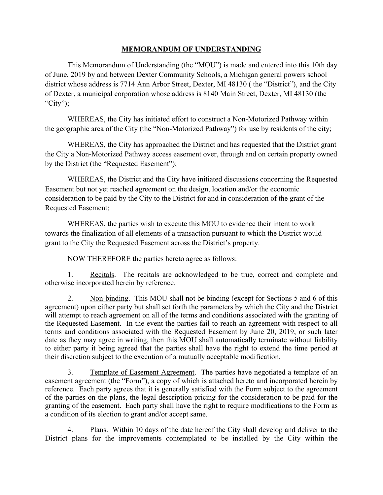### **MEMORANDUM OF UNDERSTANDING**

This Memorandum of Understanding (the "MOU") is made and entered into this 10th day of June, 2019 by and between Dexter Community Schools, a Michigan general powers school district whose address is 7714 Ann Arbor Street, Dexter, MI 48130 ( the "District"), and the City of Dexter, a municipal corporation whose address is 8140 Main Street, Dexter, MI 48130 (the "City");

WHEREAS, the City has initiated effort to construct a Non-Motorized Pathway within the geographic area of the City (the "Non-Motorized Pathway") for use by residents of the city;

WHEREAS, the City has approached the District and has requested that the District grant the City a Non-Motorized Pathway access easement over, through and on certain property owned by the District (the "Requested Easement");

WHEREAS, the District and the City have initiated discussions concerning the Requested Easement but not yet reached agreement on the design, location and/or the economic consideration to be paid by the City to the District for and in consideration of the grant of the Requested Easement;

WHEREAS, the parties wish to execute this MOU to evidence their intent to work towards the finalization of all elements of a transaction pursuant to which the District would grant to the City the Requested Easement across the District's property.

NOW THEREFORE the parties hereto agree as follows:

1. Recitals. The recitals are acknowledged to be true, correct and complete and otherwise incorporated herein by reference.

2. Non-binding. This MOU shall not be binding (except for Sections 5 and 6 of this agreement) upon either party but shall set forth the parameters by which the City and the District will attempt to reach agreement on all of the terms and conditions associated with the granting of the Requested Easement. In the event the parties fail to reach an agreement with respect to all terms and conditions associated with the Requested Easement by June 20, 2019, or such later date as they may agree in writing, then this MOU shall automatically terminate without liability to either party it being agreed that the parties shall have the right to extend the time period at their discretion subject to the execution of a mutually acceptable modification.

3. Template of Easement Agreement. The parties have negotiated a template of an easement agreement (the "Form"), a copy of which is attached hereto and incorporated herein by reference. Each party agrees that it is generally satisfied with the Form subject to the agreement of the parties on the plans, the legal description pricing for the consideration to be paid for the granting of the easement. Each party shall have the right to require modifications to the Form as a condition of its election to grant and/or accept same.

4. Plans. Within 10 days of the date hereof the City shall develop and deliver to the District plans for the improvements contemplated to be installed by the City within the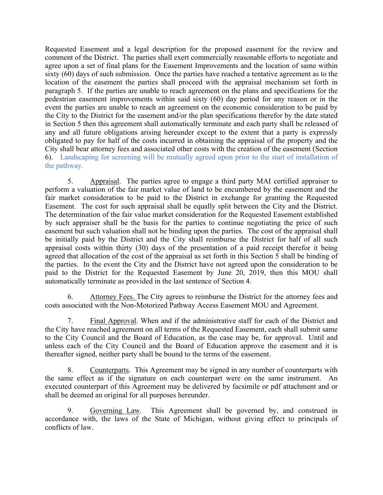Requested Easement and a legal description for the proposed easement for the review and comment of the District. The parties shall exert commercially reasonable efforts to negotiate and agree upon a set of final plans for the Easement Improvements and the location of same within sixty (60) days of such submission. Once the parties have reached a tentative agreement as to the location of the easement the parties shall proceed with the appraisal mechanism set forth in paragraph 5. If the parties are unable to reach agreement on the plans and specifications for the pedestrian easement improvements within said sixty (60) day period for any reason or in the event the parties are unable to reach an agreement on the economic consideration to be paid by the City to the District for the easement and/or the plan specifications therefor by the date stated in Section 5 then this agreement shall automatically terminate and each party shall be released of any and all future obligations arising hereunder except to the extent that a party is expressly obligated to pay for half of the costs incurred in obtaining the appraisal of the property and the City shall bear attorney fees and associated other costs with the creation of the easement (Section 6). Landscaping for screening will be mutually agreed upon prior to the start of installation of the pathway.

5. Appraisal. The parties agree to engage a third party MAI certified appraiser to perform a valuation of the fair market value of land to be encumbered by the easement and the fair market consideration to be paid to the District in exchange for granting the Requested Easement. The cost for such appraisal shall be equally split between the City and the District. The determination of the fair value market consideration for the Requested Easement established by such appraiser shall be the basis for the parties to continue negotiating the price of such easement but such valuation shall not be binding upon the parties. The cost of the appraisal shall be initially paid by the District and the City shall reimburse the District for half of all such appraisal costs within thirty (30) days of the presentation of a paid receipt therefor it being agreed that allocation of the cost of the appraisal as set forth in this Section 5 shall be binding of the parties. In the event the City and the District have not agreed upon the consideration to be paid to the District for the Requested Easement by June 20, 2019, then this MOU shall automatically terminate as provided in the last sentence of Section 4.

6. Attorney Fees. The City agrees to reimburse the District for the attorney fees and costs associated with the Non-Motorized Pathway Access Easement MOU and Agreement.

7. Final Approval. When and if the administrative staff for each of the District and the City have reached agreement on all terms of the Requested Easement, each shall submit same to the City Council and the Board of Education, as the case may be, for approval. Until and unless each of the City Council and the Board of Education approve the easement and it is thereafter signed, neither party shall be bound to the terms of the easement.

8. Counterparts. This Agreement may be signed in any number of counterparts with the same effect as if the signature on each counterpart were on the same instrument. An executed counterpart of this Agreement may be delivered by facsimile or pdf attachment and or shall be deemed an original for all purposes hereunder.

9. Governing Law. This Agreement shall be governed by, and construed in accordance with, the laws of the State of Michigan, without giving effect to principals of conflicts of law.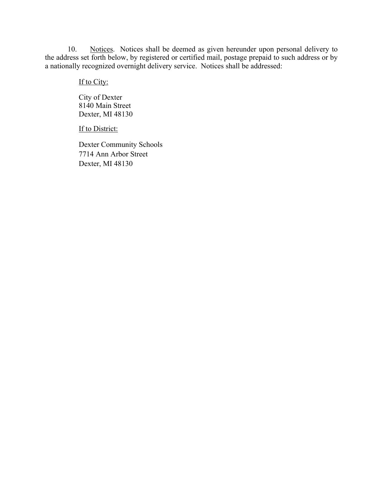10. Notices. Notices shall be deemed as given hereunder upon personal delivery to the address set forth below, by registered or certified mail, postage prepaid to such address or by a nationally recognized overnight delivery service. Notices shall be addressed:

If to City:

City of Dexter 8140 Main Street Dexter, MI 48130

If to District:

Dexter Community Schools 7714 Ann Arbor Street Dexter, MI 48130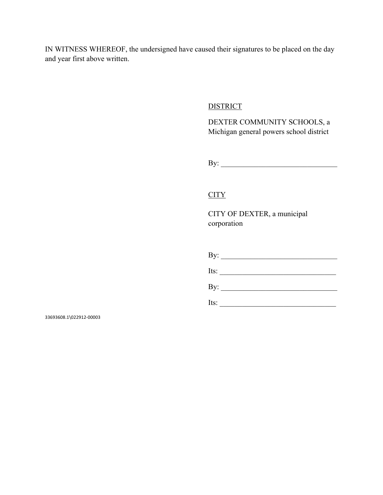IN WITNESS WHEREOF, the undersigned have caused their signatures to be placed on the day and year first above written.

### **DISTRICT**

DEXTER COMMUNITY SCHOOLS, a Michigan general powers school district

By: \_\_\_\_\_\_\_\_\_\_\_\_\_\_\_\_\_\_\_\_\_\_\_\_\_\_\_\_\_\_\_

## **CITY**

CITY OF DEXTER, a municipal corporation

|      | Its:                |
|------|---------------------|
|      | By: $\qquad \qquad$ |
| Its: |                     |

33693608.1\022912-00003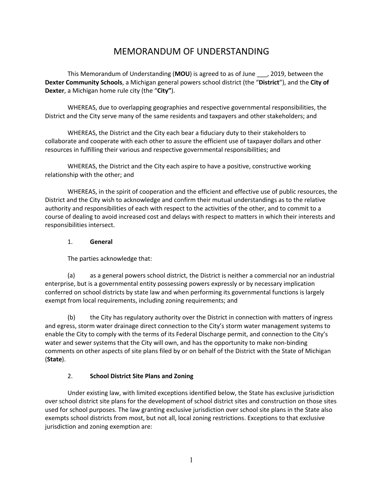# MEMORANDUM OF UNDERSTANDING

This Memorandum of Understanding (**MOU**) is agreed to as of June \_\_\_, 2019, between the **Dexter Community Schools**, a Michigan general powers school district (the "**District**"), and the **City of Dexter**, a Michigan home rule city (the "**City"**).

WHEREAS, due to overlapping geographies and respective governmental responsibilities, the District and the City serve many of the same residents and taxpayers and other stakeholders; and

WHEREAS, the District and the City each bear a fiduciary duty to their stakeholders to collaborate and cooperate with each other to assure the efficient use of taxpayer dollars and other resources in fulfilling their various and respective governmental responsibilities; and

WHEREAS, the District and the City each aspire to have a positive, constructive working relationship with the other; and

WHEREAS, in the spirit of cooperation and the efficient and effective use of public resources, the District and the City wish to acknowledge and confirm their mutual understandings as to the relative authority and responsibilities of each with respect to the activities of the other, and to commit to a course of dealing to avoid increased cost and delays with respect to matters in which their interests and responsibilities intersect.

#### 1. **General**

The parties acknowledge that:

(a) as a general powers school district, the District is neither a commercial nor an industrial enterprise, but is a governmental entity possessing powers expressly or by necessary implication conferred on school districts by state law and when performing its governmental functions is largely exempt from local requirements, including zoning requirements; and

(b) the City has regulatory authority over the District in connection with matters of ingress and egress, storm water drainage direct connection to the City's storm water management systems to enable the City to comply with the terms of its Federal Discharge permit, and connection to the City's water and sewer systems that the City will own, and has the opportunity to make non-binding comments on other aspects of site plans filed by or on behalf of the District with the State of Michigan (**State**).

### 2. **School District Site Plans and Zoning**

Under existing law, with limited exceptions identified below, the State has exclusive jurisdiction over school district site plans for the development of school district sites and construction on those sites used for school purposes. The law granting exclusive jurisdiction over school site plans in the State also exempts school districts from most, but not all, local zoning restrictions. Exceptions to that exclusive jurisdiction and zoning exemption are: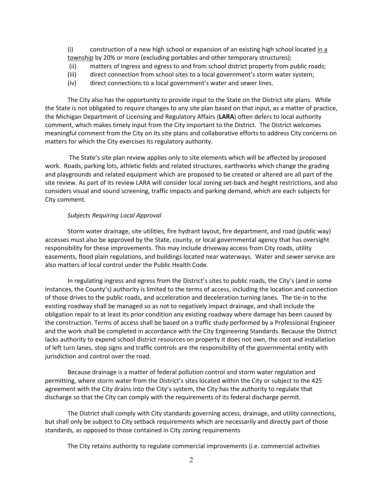(i) construction of a new high school or expansion of an existing high school located in a township by 20% or more (excluding portables and other temporary structures);

- (ii) matters of ingress and egress to and from school district property from public roads;
- (iii) direct connection from school sites to a local government's storm water system;
- (iv) direct connections to a local government's water and sewer lines.

The City also has the opportunity to provide input to the State on the District site plans. While the State is not obligated to require changes to any site plan based on that input, as a matter of practice, the Michigan Department of Licensing and Regulatory Affairs (**LARA**) often defers to local authority comment, which makes timely input from the City important to the District. The District welcomes meaningful comment from the City on its site plans and collaborative efforts to address City concerns on matters for which the City exercises its regulatory authority.

The State's site plan review applies only to site elements which will be affected by proposed work. Roads, parking lots, athletic fields and related structures, earthworks which change the grading and playgrounds and related equipment which are proposed to be created or altered are all part of the site review. As part of its review LARA will consider local zoning set-back and height restrictions, and also considers visual and sound screening, traffic impacts and parking demand, which are each subjects for City comment.

#### *Subjects Requiring Local Approval*

Storm water drainage, site utilities, fire hydrant layout, fire department, and road (public way) accesses must also be approved by the State, county, or local governmental agency that has oversight responsibility for these improvements. This may include driveway access from City roads, utility easements, flood plain regulations, and buildings located near waterways. Water and sewer service are also matters of local control under the Public Health Code.

In regulating ingress and egress from the District's sites to public roads, the City's (and in some instances, the County's) authority is limited to the terms of access, including the location and connection of those drives to the public roads, and acceleration and deceleration turning lanes. The tie-in to the existing roadway shall be managed so as not to negatively impact drainage, and shall include the obligation repair to at least its prior condition any existing roadway where damage has been caused by the construction. Terms of access shall be based on a traffic study performed by a Professional Engineer and the work shall be completed in accordance with the City Engineering Standards. Because the District lacks authority to expend school district resources on property it does not own, the cost and installation of left turn lanes, stop signs and traffic controls are the responsibility of the governmental entity with jurisdiction and control over the road.

Because drainage is a matter of federal pollution control and storm water regulation and permitting, where storm water from the District's sites located within the City or subject to the 425 agreement with the City drains into the City's system, the City has the authority to regulate that discharge so that the City can comply with the requirements of its federal discharge permit.

The District shall comply with City standards governing access, drainage, and utility connections, but shall only be subject to City setback requirements which are necessarily and directly part of those standards, as opposed to those contained in City zoning requirements

The City retains authority to regulate commercial improvements (i.e. commercial activities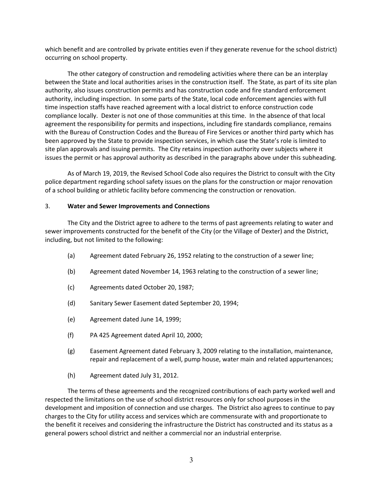which benefit and are controlled by private entities even if they generate revenue for the school district) occurring on school property.

The other category of construction and remodeling activities where there can be an interplay between the State and local authorities arises in the construction itself. The State, as part of its site plan authority, also issues construction permits and has construction code and fire standard enforcement authority, including inspection. In some parts of the State, local code enforcement agencies with full time inspection staffs have reached agreement with a local district to enforce construction code compliance locally. Dexter is not one of those communities at this time. In the absence of that local agreement the responsibility for permits and inspections, including fire standards compliance, remains with the Bureau of Construction Codes and the Bureau of Fire Services or another third party which has been approved by the State to provide inspection services, in which case the State's role is limited to site plan approvals and issuing permits. The City retains inspection authority over subjects where it issues the permit or has approval authority as described in the paragraphs above under this subheading.

As of March 19, 2019, the Revised School Code also requires the District to consult with the City police department regarding school safety issues on the plans for the construction or major renovation of a school building or athletic facility before commencing the construction or renovation.

#### 3. **Water and Sewer Improvements and Connections**

The City and the District agree to adhere to the terms of past agreements relating to water and sewer improvements constructed for the benefit of the City (or the Village of Dexter) and the District, including, but not limited to the following:

- (a) Agreement dated February 26, 1952 relating to the construction of a sewer line;
- (b) Agreement dated November 14, 1963 relating to the construction of a sewer line;
- (c) Agreements dated October 20, 1987;
- (d) Sanitary Sewer Easement dated September 20, 1994;
- (e) Agreement dated June 14, 1999;
- (f) PA 425 Agreement dated April 10, 2000;
- (g) Easement Agreement dated February 3, 2009 relating to the installation, maintenance, repair and replacement of a well, pump house, water main and related appurtenances;
- (h) Agreement dated July 31, 2012.

The terms of these agreements and the recognized contributions of each party worked well and respected the limitations on the use of school district resources only for school purposes in the development and imposition of connection and use charges. The District also agrees to continue to pay charges to the City for utility access and services which are commensurate with and proportionate to the benefit it receives and considering the infrastructure the District has constructed and its status as a general powers school district and neither a commercial nor an industrial enterprise.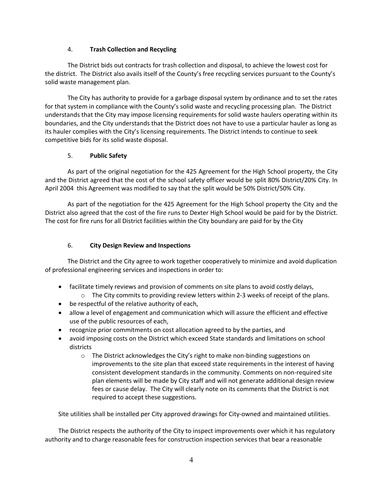#### 4. **Trash Collection and Recycling**

The District bids out contracts for trash collection and disposal, to achieve the lowest cost for the district. The District also avails itself of the County's free recycling services pursuant to the County's solid waste management plan.

The City has authority to provide for a garbage disposal system by ordinance and to set the rates for that system in compliance with the County's solid waste and recycling processing plan. The District understands that the City may impose licensing requirements for solid waste haulers operating within its boundaries, and the City understands that the District does not have to use a particular hauler as long as its hauler complies with the City's licensing requirements. The District intends to continue to seek competitive bids for its solid waste disposal.

#### 5. **Public Safety**

As part of the original negotiation for the 425 Agreement for the High School property, the City and the District agreed that the cost of the school safety officer would be split 80% District/20% City. In April 2004 this Agreement was modified to say that the split would be 50% District/50% City.

As part of the negotiation for the 425 Agreement for the High School property the City and the District also agreed that the cost of the fire runs to Dexter High School would be paid for by the District. The cost for fire runs for all District facilities within the City boundary are paid for by the City

#### 6. **City Design Review and Inspections**

The District and the City agree to work together cooperatively to minimize and avoid duplication of professional engineering services and inspections in order to:

- facilitate timely reviews and provision of comments on site plans to avoid costly delays,
	- $\circ$  The City commits to providing review letters within 2-3 weeks of receipt of the plans.
- be respectful of the relative authority of each,
- allow a level of engagement and communication which will assure the efficient and effective use of the public resources of each,
- recognize prior commitments on cost allocation agreed to by the parties, and
- avoid imposing costs on the District which exceed State standards and limitations on school districts
	- o The District acknowledges the City's right to make non-binding suggestions on improvements to the site plan that exceed state requirements in the interest of having consistent development standards in the community. Comments on non-required site plan elements will be made by City staff and will not generate additional design review fees or cause delay. The City will clearly note on its comments that the District is not required to accept these suggestions.

Site utilities shall be installed per City approved drawings for City-owned and maintained utilities.

The District respects the authority of the City to inspect improvements over which it has regulatory authority and to charge reasonable fees for construction inspection services that bear a reasonable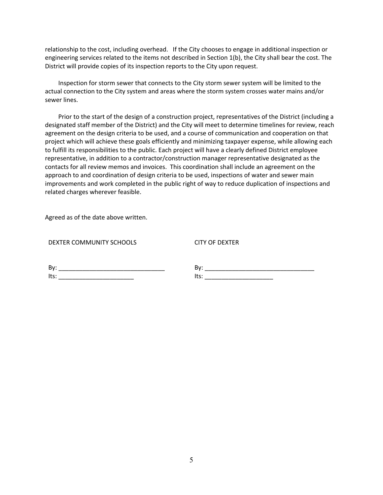relationship to the cost, including overhead. If the City chooses to engage in additional inspection or engineering services related to the items not described in Section 1(b), the City shall bear the cost. The District will provide copies of its inspection reports to the City upon request.

Inspection for storm sewer that connects to the City storm sewer system will be limited to the actual connection to the City system and areas where the storm system crosses water mains and/or sewer lines.

Prior to the start of the design of a construction project, representatives of the District (including a designated staff member of the District) and the City will meet to determine timelines for review, reach agreement on the design criteria to be used, and a course of communication and cooperation on that project which will achieve these goals efficiently and minimizing taxpayer expense, while allowing each to fulfill its responsibilities to the public. Each project will have a clearly defined District employee representative, in addition to a contractor/construction manager representative designated as the contacts for all review memos and invoices. This coordination shall include an agreement on the approach to and coordination of design criteria to be used, inspections of water and sewer main improvements and work completed in the public right of way to reduce duplication of inspections and related charges wherever feasible.

Agreed as of the date above written.

|  | DEXTER COMMUNITY SCHOOLS |  |
|--|--------------------------|--|
|--|--------------------------|--|

CITY OF DEXTER

| BV:  |  |  |  |
|------|--|--|--|
| ltc' |  |  |  |

By: \_\_\_\_\_\_\_\_\_\_\_\_\_\_\_\_\_\_\_\_\_\_\_\_\_\_\_\_\_\_\_\_  $Its:$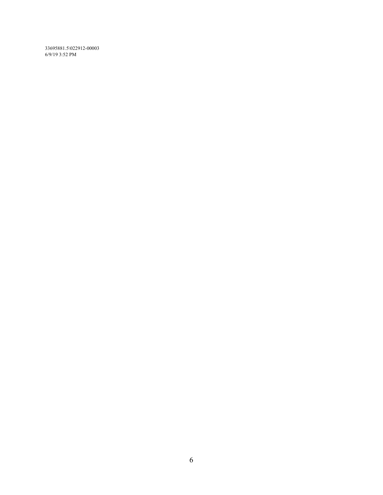33695881.5\022912-00003 6/9/19 3:52 PM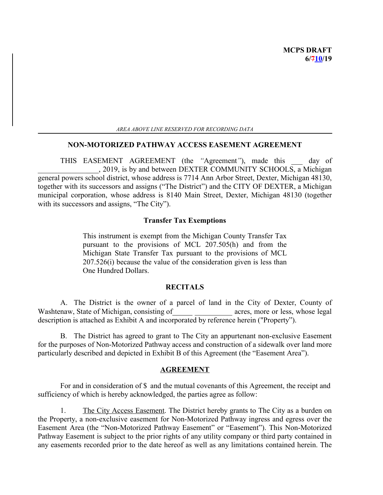*AREA ABOVE LINE RESERVED FOR RECORDING DATA*

#### **NON-MOTORIZED PATHWAY ACCESS EASEMENT AGREEMENT**

THIS EASEMENT AGREEMENT (the *"*Agreement*"*), made this \_\_\_ day of \_\_\_\_\_\_\_\_\_\_\_\_\_ , 2019, is by and between DEXTER COMMUNITY SCHOOLS, a Michigan general powers school district, whose address is 7714 Ann Arbor Street, Dexter, Michigan 48130, together with its successors and assigns ("The District") and the CITY OF DEXTER, a Michigan municipal corporation, whose address is 8140 Main Street, Dexter, Michigan 48130 (together with its successors and assigns, "The City").

#### **Transfer Tax Exemptions**

This instrument is exempt from the Michigan County Transfer Tax pursuant to the provisions of MCL 207.505(h) and from the Michigan State Transfer Tax pursuant to the provisions of MCL 207.526(i) because the value of the consideration given is less than One Hundred Dollars.

#### **RECITALS**

A. The District is the owner of a parcel of land in the City of Dexter, County of Washtenaw, State of Michigan, consisting of Theorem acres, more or less, whose legal description is attached as Exhibit A and incorporated by reference herein ("Property").

B. The District has agreed to grant to The City an appurtenant non-exclusive Easement for the purposes of Non-Motorized Pathway access and construction of a sidewalk over land more particularly described and depicted in Exhibit B of this Agreement (the "Easement Area").

#### **AGREEMENT**

For and in consideration of \$ and the mutual covenants of this Agreement, the receipt and sufficiency of which is hereby acknowledged, the parties agree as follow:

1. The City Access Easement. The District hereby grants to The City as a burden on the Property, a non-exclusive easement for Non-Motorized Pathway ingress and egress over the Easement Area (the "Non-Motorized Pathway Easement" or "Easement"). This Non-Motorized Pathway Easement is subject to the prior rights of any utility company or third party contained in any easements recorded prior to the date hereof as well as any limitations contained herein. The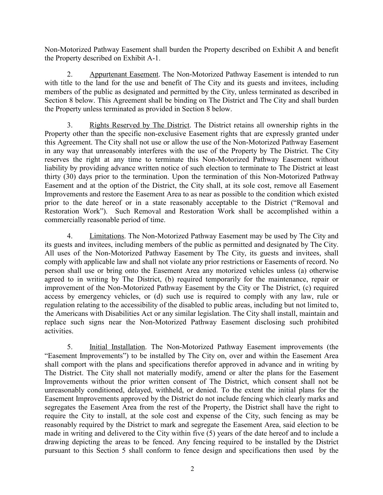Non-Motorized Pathway Easement shall burden the Property described on Exhibit A and benefit the Property described on Exhibit A-1.

2. Appurtenant Easement. The Non-Motorized Pathway Easement is intended to run with title to the land for the use and benefit of The City and its guests and invitees, including members of the public as designated and permitted by the City, unless terminated as described in Section 8 below. This Agreement shall be binding on The District and The City and shall burden the Property unless terminated as provided in Section 8 below.

3. Rights Reserved by The District. The District retains all ownership rights in the Property other than the specific non-exclusive Easement rights that are expressly granted under this Agreement. The City shall not use or allow the use of the Non-Motorized Pathway Easement in any way that unreasonably interferes with the use of the Property by The District. The City reserves the right at any time to terminate this Non-Motorized Pathway Easement without liability by providing advance written notice of such election to terminate to The District at least thirty (30) days prior to the termination. Upon the termination of this Non-Motorized Pathway Easement and at the option of the District, the City shall, at its sole cost, remove all Easement Improvements and restore the Easement Area to as near as possible to the condition which existed prior to the date hereof or in a state reasonably acceptable to the District ("Removal and Restoration Work"). Such Removal and Restoration Work shall be accomplished within a commercially reasonable period of time.

4. **Limitations.** The Non-Motorized Pathway Easement may be used by The City and its guests and invitees, including members of the public as permitted and designated by The City. All uses of the Non-Motorized Pathway Easement by The City, its guests and invitees, shall comply with applicable law and shall not violate any prior restrictions or Easements of record. No person shall use or bring onto the Easement Area any motorized vehicles unless (a) otherwise agreed to in writing by The District, (b) required temporarily for the maintenance, repair or improvement of the Non-Motorized Pathway Easement by the City or The District, (c) required access by emergency vehicles, or (d) such use is required to comply with any law, rule or regulation relating to the accessibility of the disabled to public areas, including but not limited to, the Americans with Disabilities Act or any similar legislation. The City shall install, maintain and replace such signs near the Non-Motorized Pathway Easement disclosing such prohibited activities.

5. Initial Installation. The Non-Motorized Pathway Easement improvements (the "Easement Improvements") to be installed by The City on, over and within the Easement Area shall comport with the plans and specifications therefor approved in advance and in writing by The District. The City shall not materially modify, amend or alter the plans for the Easement Improvements without the prior written consent of The District, which consent shall not be unreasonably conditioned, delayed, withheld, or denied. To the extent the initial plans for the Easement Improvements approved by the District do not include fencing which clearly marks and segregates the Easement Area from the rest of the Property, the District shall have the right to require the City to install, at the sole cost and expense of the City, such fencing as may be reasonably required by the District to mark and segregate the Easement Area, said election to be made in writing and delivered to the City within five (5) years of the date hereof and to include a drawing depicting the areas to be fenced. Any fencing required to be installed by the District pursuant to this Section 5 shall conform to fence design and specifications then used by the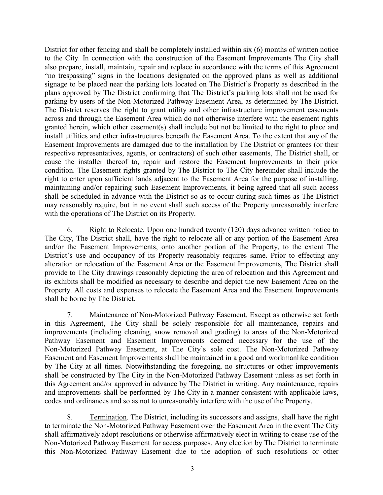District for other fencing and shall be completely installed within six (6) months of written notice to the City. In connection with the construction of the Easement Improvements The City shall also prepare, install, maintain, repair and replace in accordance with the terms of this Agreement "no trespassing" signs in the locations designated on the approved plans as well as additional signage to be placed near the parking lots located on The District's Property as described in the plans approved by The District confirming that The District's parking lots shall not be used for parking by users of the Non-Motorized Pathway Easement Area, as determined by The District. The District reserves the right to grant utility and other infrastructure improvement easements across and through the Easement Area which do not otherwise interfere with the easement rights granted herein, which other easement(s) shall include but not be limited to the right to place and install utilities and other infrastructures beneath the Easement Area. To the extent that any of the Easement Improvements are damaged due to the installation by The District or grantees (or their respective representatives, agents, or contractors) of such other easements, The District shall, or cause the installer thereof to, repair and restore the Easement Improvements to their prior condition. The Easement rights granted by The District to The City hereunder shall include the right to enter upon sufficient lands adjacent to the Easement Area for the purpose of installing, maintaining and/or repairing such Easement Improvements, it being agreed that all such access shall be scheduled in advance with the District so as to occur during such times as The District may reasonably require, but in no event shall such access of the Property unreasonably interfere with the operations of The District on its Property.

6. Right to Relocate. Upon one hundred twenty (120) days advance written notice to The City, The District shall, have the right to relocate all or any portion of the Easement Area and/or the Easement Improvements, onto another portion of the Property, to the extent The District's use and occupancy of its Property reasonably requires same. Prior to effecting any alteration or relocation of the Easement Area or the Easement Improvements, The District shall provide to The City drawings reasonably depicting the area of relocation and this Agreement and its exhibits shall be modified as necessary to describe and depict the new Easement Area on the Property. All costs and expenses to relocate the Easement Area and the Easement Improvements shall be borne by The District.

7. Maintenance of Non-Motorized Pathway Easement. Except as otherwise set forth in this Agreement, The City shall be solely responsible for all maintenance, repairs and improvements (including cleaning, snow removal and grading) to areas of the Non-Motorized Pathway Easement and Easement Improvements deemed necessary for the use of the Non-Motorized Pathway Easement, at The City's sole cost. The Non-Motorized Pathway Easement and Easement Improvements shall be maintained in a good and workmanlike condition by The City at all times. Notwithstanding the foregoing, no structures or other improvements shall be constructed by The City in the Non-Motorized Pathway Easement unless as set forth in this Agreement and/or approved in advance by The District in writing. Any maintenance, repairs and improvements shall be performed by The City in a manner consistent with applicable laws, codes and ordinances and so as not to unreasonably interfere with the use of the Property.

8. Termination. The District, including its successors and assigns, shall have the right to terminate the Non-Motorized Pathway Easement over the Easement Area in the event The City shall affirmatively adopt resolutions or otherwise affirmatively elect in writing to cease use of the Non-Motorized Pathway Easement for access purposes. Any election by The District to terminate this Non-Motorized Pathway Easement due to the adoption of such resolutions or other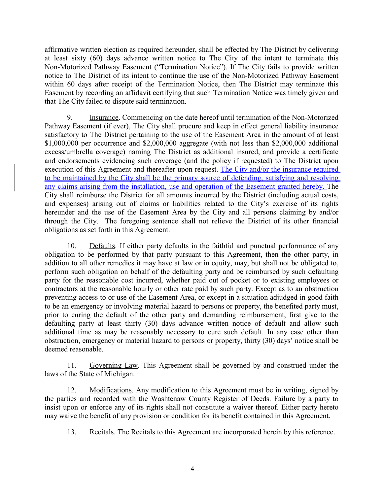affirmative written election as required hereunder, shall be effected by The District by delivering at least sixty (60) days advance written notice to The City of the intent to terminate this Non-Motorized Pathway Easement ("Termination Notice"). If The City fails to provide written notice to The District of its intent to continue the use of the Non-Motorized Pathway Easement within 60 days after receipt of the Termination Notice, then The District may terminate this Easement by recording an affidavit certifying that such Termination Notice was timely given and that The City failed to dispute said termination.

9. Insurance. Commencing on the date hereof until termination of the Non-Motorized Pathway Easement (if ever), The City shall procure and keep in effect general liability insurance satisfactory to The District pertaining to the use of the Easement Area in the amount of at least \$1,000,000 per occurrence and \$2,000,000 aggregate (with not less than \$2,000,000 additional excess/umbrella coverage) naming The District as additional insured, and provide a certificate and endorsements evidencing such coverage (and the policy if requested) to The District upon execution of this Agreement and thereafter upon request. The City and/or the insurance required to be maintained by the City shall be the primary source of defending, satisfying and resolving any claims arising from the installation, use and operation of the Easement granted hereby. The City shall reimburse the District for all amounts incurred by the District (including actual costs, and expenses) arising out of claims or liabilities related to the City's exercise of its rights hereunder and the use of the Easement Area by the City and all persons claiming by and/or through the City. The foregoing sentence shall not relieve the District of its other financial obligations as set forth in this Agreement.

10. Defaults. If either party defaults in the faithful and punctual performance of any obligation to be performed by that party pursuant to this Agreement, then the other party, in addition to all other remedies it may have at law or in equity, may, but shall not be obligated to, perform such obligation on behalf of the defaulting party and be reimbursed by such defaulting party for the reasonable cost incurred, whether paid out of pocket or to existing employees or contractors at the reasonable hourly or other rate paid by such party. Except as to an obstruction preventing access to or use of the Easement Area, or except in a situation adjudged in good faith to be an emergency or involving material hazard to persons or property, the benefited party must, prior to curing the default of the other party and demanding reimbursement, first give to the defaulting party at least thirty (30) days advance written notice of default and allow such additional time as may be reasonably necessary to cure such default. In any case other than obstruction, emergency or material hazard to persons or property, thirty (30) days' notice shall be deemed reasonable.

11. Governing Law. This Agreement shall be governed by and construed under the laws of the State of Michigan.

12. Modifications. Any modification to this Agreement must be in writing, signed by the parties and recorded with the Washtenaw County Register of Deeds. Failure by a party to insist upon or enforce any of its rights shall not constitute a waiver thereof. Either party hereto may waive the benefit of any provision or condition for its benefit contained in this Agreement.

13. Recitals. The Recitals to this Agreement are incorporated herein by this reference.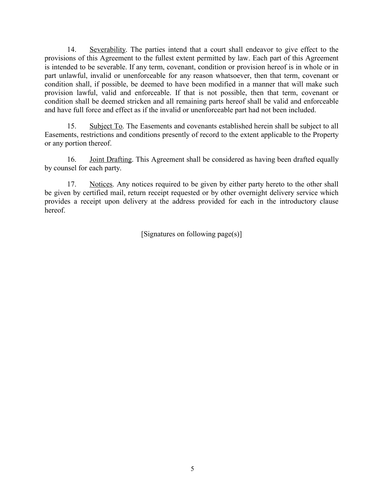14. Severability. The parties intend that a court shall endeavor to give effect to the provisions of this Agreement to the fullest extent permitted by law. Each part of this Agreement is intended to be severable. If any term, covenant, condition or provision hereof is in whole or in part unlawful, invalid or unenforceable for any reason whatsoever, then that term, covenant or condition shall, if possible, be deemed to have been modified in a manner that will make such provision lawful, valid and enforceable. If that is not possible, then that term, covenant or condition shall be deemed stricken and all remaining parts hereof shall be valid and enforceable and have full force and effect as if the invalid or unenforceable part had not been included.

15. Subject To. The Easements and covenants established herein shall be subject to all Easements, restrictions and conditions presently of record to the extent applicable to the Property or any portion thereof.

16. Joint Drafting. This Agreement shall be considered as having been drafted equally by counsel for each party.

17. Notices. Any notices required to be given by either party hereto to the other shall be given by certified mail, return receipt requested or by other overnight delivery service which provides a receipt upon delivery at the address provided for each in the introductory clause hereof.

[Signatures on following page(s)]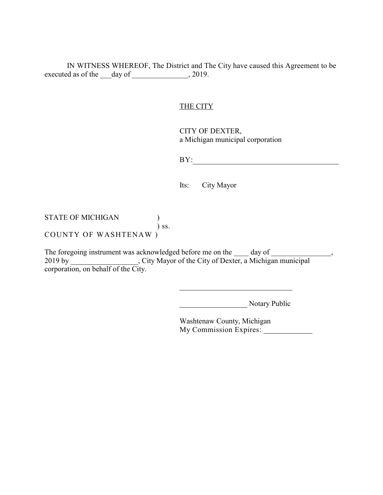IN WITNESS WHEREOF, The District and The City have caused this Agreement to be executed as of the \_\_\_day of \_\_\_\_\_\_\_\_\_\_\_\_\_, 2019.

#### THE CITY

CITY OF DEXTER, a Michigan municipal corporation

BY: and the contract of the contract of the contract of the contract of the contract of the contract of the contract of the contract of the contract of the contract of the contract of the contract of the contract of the co

Its: City Mayor

STATE OF MICHIGAN  $)$  $\int$  ss. COUNTY OF WASHTENAW )

The foregoing instrument was acknowledged before me on the day of strategies of the control of the strategy of 2019 by \_\_\_\_\_\_\_\_\_\_\_\_\_\_\_\_\_\_, City Mayor of the City of Dexter, a Michigan municipal  $2019 \text{ by }$  Corporation, on behalf of the City.

Notary Public

Washtenaw County, Michigan My Commission Expires: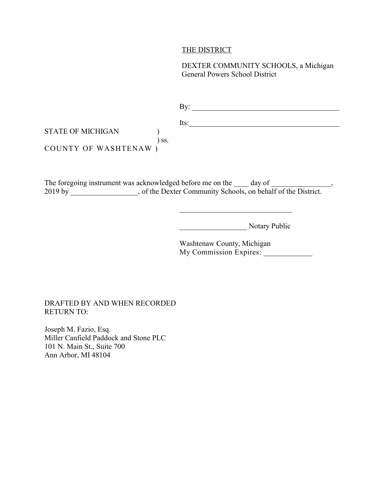#### THE DISTRICT

DEXTER COMMUNITY SCHOOLS, a Michigan General Powers School District

|                          |     | Its: |
|--------------------------|-----|------|
| <b>STATE OF MICHIGAN</b> |     |      |
|                          | SS. |      |
| COUNTY OF WASHTENAW      |     |      |

The foregoing instrument was acknowledged before me on the \_\_\_\_\_\_ day of \_\_\_\_\_\_\_ 2019 by \_\_\_\_\_\_\_\_\_\_\_\_\_, of the Dexter Community Schools, on behalf of the District.

Notary Public

Washtenaw County, Michigan My Commission Expires:

#### DRAFTED BY AND WHEN RECORDED RETURN TO:

Joseph M. Fazio, Esq. Miller Canfield Paddock and Stone PLC 101 N. Main St., Suite 700 Ann Arbor, MI 48104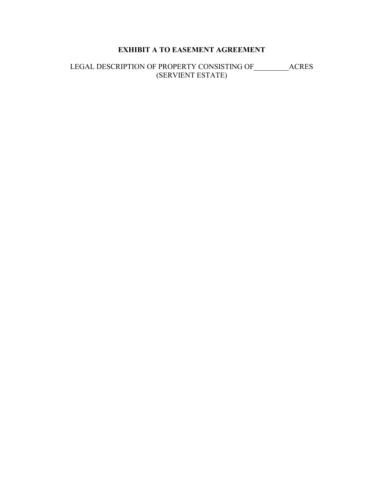## **EXHIBIT A TO EASEMENT AGREEMENT**

LEGAL DESCRIPTION OF PROPERTY CONSISTING OF \_\_\_\_\_\_\_\_\_\_ACRES (SERVIENT ESTATE)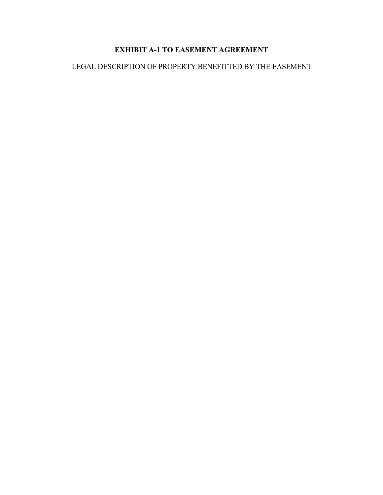## **EXHIBIT A-1 TO EASEMENT AGREEMENT**

## LEGAL DESCRIPTION OF PROPERTY BENEFITTED BY THE EASEMENT